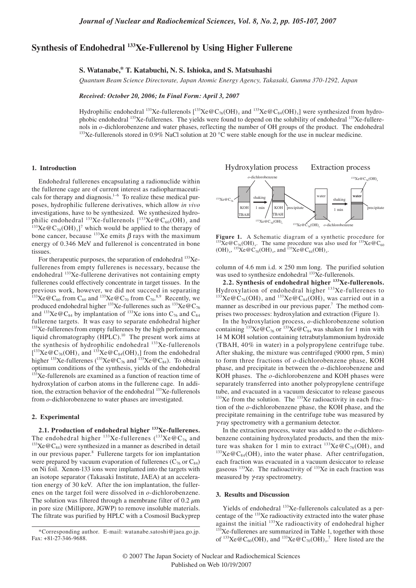# **Synthesis of Endohedral 133Xe-Fullerenol by Using Higher Fullerene**

**S. Watanabe,\* T. Katabuchi, N. S. Ishioka, and S. Matsuhashi**

*Quantum Beam Science Directorate, Japan Atomic Energy Agency, Takasaki, Gunma 370-1292, Japan*

*Received: October 20, 2006; In Final Form: April 3, 2007*

Hydrophilic endohedral <sup>133</sup>Xe-fullerenols  $[$ <sup>133</sup>Xe  $@C_{76}(OH)_x$  and <sup>133</sup>Xe  $@C_{84}(OH)_x]$  were synthesized from hydrophobic endohedral  $^{133}$ Xe-fullerenes. The yields were found to depend on the solubility of endohedral  $^{133}$ Xe-fullerenols in *o*-dichlorobenzene and water phases, reflecting the number of OH groups of the product. The endohedral <sup>133</sup>Xe-fullerenols stored in 0.9% NaCl solution at 20 °C were stable enough for the use in nuclear medicine.

### **1. Introduction**

Endohedral fullerenes encapsulating a radionuclide within the fullerene cage are of current interest as radiopharmaceuticals for therapy and diagnosis.<sup>1–6</sup> To realize these medical purposes, hydrophilic fullerene derivatives, which allow *in vivo* investigations, have to be synthesized. We synthesized hydrophilic endohedral <sup>133</sup>Xe-fullerenols  $[{}^{133}Xe@C_{60}(OH)_x$  and  ${}^{133}Xe@C_{70}(OH)_x]$ <sup>7</sup> which would be applied to the therapy of bone cancer, because  $^{133}$ Xe emits  $\beta$  rays with the maximum energy of 0.346 MeV and fullerenol is concentrated in bone tissues.

For therapeutic purposes, the separation of endohedral  $133Xe$ fullerenes from empty fullerenes is necessary, because the endohedral <sup>133</sup>Xe-fullerene derivatives not containing empty fullerenes could effectively concentrate in target tissues. In the previous work, however, we did not succeed in separating <sup>133</sup>Xe @C<sub>60</sub> from C<sub>60</sub> and <sup>133</sup>Xe @C<sub>70</sub> from C<sub>70</sub>.<sup>8,9</sup> Recently, we produced endohedral higher  $^{133}$ Xe-fullerenes such as  $^{133}$ Xe $@C_{76}$ and <sup>133</sup>Xe@C<sub>84</sub> by implantation of <sup>133</sup>Xe ions into C<sub>76</sub> and C<sub>84</sub> fullerene targets. It was easy to separate endohedral higher  $133$ Xe-fullerenes from empty fullerenes by the high performance liquid chromatography (HPLC).<sup>10</sup> The present work aims at the synthesis of hydrophilic endohedral <sup>133</sup>Xe-fullerenols  $[^{133}Xe@C_{76}(OH)_x$  and  $^{133}Xe@C_{84}(OH)_x]$  from the endohedral higher <sup>133</sup>Xe-fullerenes (<sup>133</sup>Xe  $@C_{76}$  and <sup>133</sup>Xe  $@C_{84}$ ). To obtain optimum conditions of the synthesis, yields of the endohedral  $133$ Xe-fullerenols are examined as a function of reaction time of hydroxylation of carbon atoms in the fullerene cage. In addition, the extraction behavior of the endohedral <sup>133</sup>Xe-fullerenols from *o*-dichlorobenzene to water phases are investigated.

## **2. Experimental**

**2.1. Production of endohedral higher 133Xe-fullerenes.** The endohedral higher <sup>133</sup>Xe-fullerenes (<sup>133</sup>Xe  $@C_{76}$  and <sup>133</sup>Xe  $@C_{84}$ ) were synthesized in a manner as described in detail in our previous paper.<sup>8</sup> Fullerene targets for ion implantation were prepared by vacuum evaporation of fullerenes ( $C_{76}$  or  $C_{84}$ ) on Ni foil. Xenon-133 ions were implanted into the targets with an isotope separator (Takasaki Institute, JAEA) at an acceleration energy of 30 keV. After the ion implantation, the fullerenes on the target foil were dissolved in *o*-dichlorobenzene. The solution was filtered through a membrane filter of 0.2 *µ*m in pore size (Millipore, JGWP) to remove insoluble materials. The filtrate was purified by HPLC with a Cosmosil Buckyprep

Hydroxylation process Extraction process



**Figure 1.** A Schematic diagram of a synthetic procedure for  $^{133}Xe@C_{76}(OH)_x$ . The same procedure was also used for  $^{133}Xe@C_{60}$  $(OH)_x$ ,  $^{133}Xe @C_{70}(OH)_x$ , and  $^{133}Xe @C_{84}(OH)_x$ .

column of 4.6 mm i.d.  $\times$  250 mm long. The purified solution was used to synthesize endohedral <sup>133</sup>Xe-fullerenols.

**2.2. Synthesis of endohedral higher 133Xe-fullerenols.**  Hydroxylation of endohedral higher <sup>133</sup>Xe-fullerenes to  $^{133}Xe@C_{76}(OH)_x$  and  $^{133}Xe@C_{84}(OH)_x$  was carried out in a manner as described in our previous paper.<sup>7</sup> The method comprises two processes: hydroxylation and extraction (Figure 1).

In the hydroxylation process, *o*-dichlorobenzene solution containing  ${}^{133}\text{Xe} \textcircled{c}_{76}$  or  ${}^{133}\text{Xe} \textcircled{c}_{84}$  was shaken for 1 min with 14 M KOH solution containing tetrabutylammonium hydroxide (TBAH, 40% in water) in a polypropylene centrifuge tube. After shaking, the mixture was centrifuged (9000 rpm, 5 min) to form three fractions of *o*-dichlorobenzene phase, KOH phase, and precipitate in between the *o*-dichlorobenzene and KOH phases. The *o*-dichlorobenzene and KOH phases were separately transferred into another polypropylene centrifuge tube, and evacuated in a vacuum desiccator to release gaseous  $133Xe$  from the solution. The  $133Xe$  radioactivity in each fraction of the *o*-dichlorobenzene phase, the KOH phase, and the precipitate remaining in the centrifuge tube was measured by γ-ray spectrometry with a germanium detector.

In the extraction process, water was added to the *o*-dichlorobenzene containing hydroxylated products, and then the mixture was shaken for 1 min to extract  $^{133}Xe@C_{76}(OH)_{x}$  and  $^{133}$ Xe @C<sub>84</sub>(OH)<sub>x</sub> into the water phase. After centrifugation, each fraction was evacuated in a vacuum desiccator to release gaseous  $133$ Xe. The radioactivity of  $133$ Xe in each fraction was measured by γ-ray spectrometry.

## **3. Results and Discussion**

Yields of endohedral <sup>133</sup>Xe-fullerenols calculated as a percentage of the  $^{133}$ Xe radioactivity extracted into the water phase against the initial  $^{133}$ Xe radioactivity of endohedral higher  $133$ Xe-fullerenes are summarized in Table 1, together with those of  $^{133}Xe@C_{60}(OH)_{x}$  and  $^{133}Xe@C_{70}(OH)_{x}$ <sup>7</sup> Here listed are the

<sup>\*</sup>Corresponding author. E-mail: watanabe.satoshi@jaea.go.jp. Fax: +81-27-346-9688.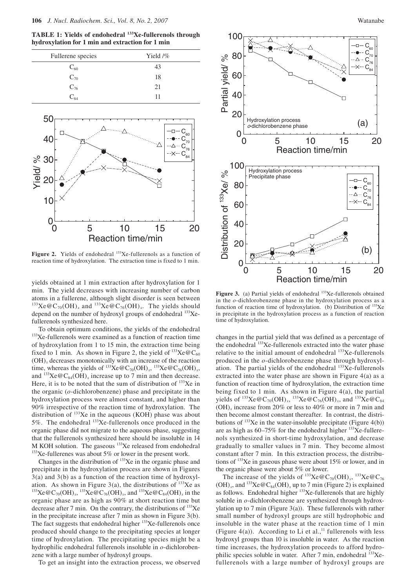**TABLE 1: Yields of endohedral 133Xe-fullerenols through hydroxylation for 1 min and extraction for 1 min** 



Figure 2. Yields of endohedral <sup>133</sup>Xe-fullerenols as a function of reaction time of hydroxylation. The extraction time is fixed to 1 min.

yields obtained at 1 min extraction after hydroxylation for 1 min. The yield decreases with increasing number of carbon atoms in a fullerene, although slight disorder is seen between <sup>133</sup>Xe @C<sub>70</sub>(OH)<sub>x</sub> and <sup>133</sup>Xe @C<sub>76</sub>(OH)<sub>x</sub>. The yields should depend on the number of hydroxyl groups of endohedral  $^{133}Xe$ fullerenols synthesized here.

To obtain optimum conditions, the yields of the endohedral 133Xe-fullerenols were examined as a function of reaction time of hydroxylation from 1 to 15 min, the extraction time being fixed to 1 min. As shown in Figure 2, the yield of  $^{133}$ Xe @C<sub>60</sub>  $(OH)$ <sub>x</sub> decreases monotonically with an increase of the reaction time, whereas the yields of  $^{133}Xe@C_{70}(OH)_{x}$ ,  $^{133}Xe@C_{76}(OH)_{x}$ , and  $^{133}$ Xe @C<sub>84</sub>(OH)<sub>x</sub> increase up to 7 min and then decrease. Here, it is to be noted that the sum of distribution of  $^{133}$ Xe in the organic (*o*-dichlorobenzene) phase and precipitate in the hydroxylation process were almost constant, and higher than 90% irrespective of the reaction time of hydroxylation. The distribution of  $133$ Xe in the aqueous (KOH) phase was about 5%. The endohedral 133Xe-fullerenols once produced in the organic phase did not migrate to the aqueous phase, suggesting that the fullerenols synthesized here should be insoluble in 14 M KOH solution. The gaseous  $^{133}$ Xe released from endohedral  $^{133}$ Xe-fullerenes was about 5% or lower in the present work.

Changes in the distribution of  $133$ Xe in the organic phase and precipitate in the hydroxylation process are shown in Figures 3(a) and 3(b) as a function of the reaction time of hydroxylation. As shown in Figure 3(a), the distributions of <sup>133</sup>Xe as <sup>133</sup>Xe  $@C_{70}(OH)_{x}$ , <sup>133</sup>Xe  $@C_{76}(OH)_{x}$ , and <sup>133</sup>Xe  $@C_{84}(OH)_{x}$  in the organic phase are as high as 90% at short reaction time but decrease after 7 min. On the contrary, the distributions of  $^{133}Xe$ in the precipitate increase after 7 min as shown in Figure 3(b). The fact suggests that endohedral higher <sup>133</sup>Xe-fullerenols once produced should change to the precipitating species at longer time of hydroxylation. The precipitating species might be a hydrophilic endohedral fullerenols insoluble in *o*-dichlorobenzene with a large number of hydroxyl groups.

To get an insight into the extraction process, we observed



Figure 3. (a) Partial yields of endohedral <sup>133</sup>Xe-fullerenols obtained in the *o*-dichlorobenzene phase in the hydroxylation process as a function of reaction time of hydroxylation. (b) Distribution of  $^{133}Xe$ in precipitate in the hydroxylation process as a function of reaction time of hydroxylation.

changes in the partial yield that was defined as a percentage of the endohedral <sup>133</sup>Xe-fullerenols extracted into the water phase relative to the initial amount of endohedral <sup>133</sup>Xe-fullerenols produced in the *o*-dichlorobenzene phase through hydroxylation. The partial yields of the endohedral  $133Xe$ -fullerenols extracted into the water phase are shown in Figure 4(a) as a function of reaction time of hydroxylation, the extraction time being fixed to 1 min. As shown in Figure 4(a), the partial yields of  $^{133}$ Xe @C<sub>70</sub>(OH)<sub>x</sub>,  $^{133}$ Xe @C<sub>76</sub>(OH)<sub>x</sub>, and  $^{133}$ Xe @C<sub>84</sub>  $(OH)_x$  increase from 20% or less to 40% or more in 7 min and then become almost constant thereafter. In contrast, the distributions of  $133$ Xe in the water-insoluble precipitate (Figure 4(b)) are as high as  $60-75\%$  for the endohedral higher  $133$ Xe-fullerenols synthesized in short-time hydroxylation, and decrease gradually to smaller values in 7 min. They become almost constant after 7 min. In this extraction process, the distributions of 133Xe in gaseous phase were about 15% or lower, and in the organic phase were about 5% or lower.

The increase of the yields of  $^{133}Xe@C_{70}(OH)$ <sup>233</sup> $Xe@C_{76}$  $(OH)_x$ , and <sup>133</sup>Xe @C<sub>84</sub>(OH)<sub>x</sub> up to 7 min (Figure 2) is explained as follows. Endohedral higher <sup>133</sup>Xe-fullerenols that are highly soluble in *o*-dichlorobenzene are synthesized through hydroxylation up to 7 min (Figure 3(a)). These fullerenols with rather small number of hydroxyl groups are still hydrophobic and insoluble in the water phase at the reaction time of 1 min (Figure 4(a)). According to Li et al.,<sup>11</sup> fullerenols with less hydroxyl groups than 10 is insoluble in water. As the reaction time increases, the hydroxylation proceeds to afford hydrophilic species soluble in water. After 7 min, endohedral <sup>133</sup>Xefullerenols with a large number of hydroxyl groups are